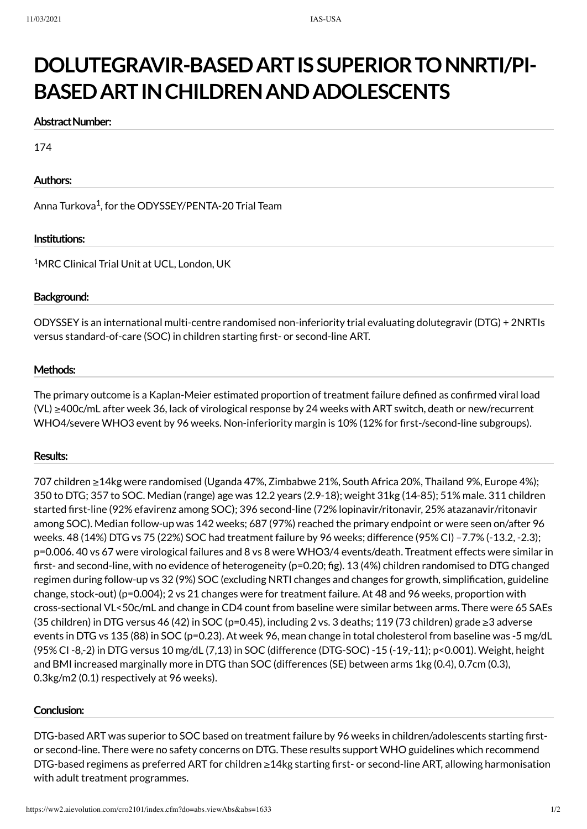# **DOLUTEGRAVIR-BASEDARTISSUPERIORTONNRTI/PI-BASEDARTINCHILDRENANDADOLESCENTS**

#### **Abstract Number:**

174

### **Authors:**

Anna Turkova $^1$ , for the ODYSSEY/PENTA-20 Trial Team

#### **Institutions:**

<sup>1</sup>MRC Clinical Trial Unit at UCL, London, UK

### **Background:**

ODYSSEY is an international multi-centre randomised non-inferiority trial evaluating dolutegravir (DTG) + 2NRTIs versus standard-of-care (SOC) in children starting first- or second-line ART.

### **Methods:**

The primary outcome is a Kaplan-Meier estimated proportion of treatment failure defined as confirmed viral load (VL) ≥400c/mL after week 36, lack of virological response by 24 weeks with ART switch, death or new/recurrent WHO4/severe WHO3 event by 96 weeks. Non-inferiority margin is 10% (12% for first-/second-line subgroups).

#### **Results:**

707 children ≥14kg were randomised (Uganda 47%, Zimbabwe 21%, South Africa 20%, Thailand 9%, Europe 4%); 350 to DTG; 357 to SOC. Median (range) age was 12.2 years (2.9-18); weight 31kg (14-85); 51% male. 311 children started first-line (92% efavirenz among SOC); 396 second-line (72% lopinavir/ritonavir, 25% atazanavir/ritonavir among SOC). Median follow-up was 142 weeks; 687 (97%) reached the primary endpoint or were seen on/after 96 weeks. 48 (14%) DTG vs 75 (22%) SOC had treatment failure by 96 weeks; difference (95% CI) –7.7% (-13.2, -2.3); p=0.006. 40 vs 67 were virological failures and 8 vs 8 were WHO3/4 events/death. Treatment effects were similar in first- and second-line, with no evidence of heterogeneity (p=0.20; fig). 13 (4%) children randomised to DTG changed regimen during follow-up vs 32 (9%) SOC (excluding NRTI changes and changes for growth, simplification, guideline change, stock-out) (p=0.004); 2 vs 21 changes were for treatment failure. At 48 and 96 weeks, proportion with cross-sectional VL<50c/mL and change in CD4 count from baseline were similar between arms. There were 65 SAEs (35 children) in DTG versus 46 (42) in SOC (p=0.45), including 2 vs. 3 deaths; 119 (73 children) grade ≥3 adverse events in DTG vs 135 (88) in SOC (p=0.23). At week 96, mean change in total cholesterol from baseline was -5 mg/dL (95% CI -8,-2) in DTG versus 10 mg/dL (7,13) in SOC (difference (DTG-SOC) -15 (-19,-11); p<0.001). Weight, height and BMI increased marginally more in DTG than SOC (differences (SE) between arms 1kg (0.4), 0.7cm (0.3), 0.3kg/m2 (0.1) respectively at 96 weeks).

#### **Conclusion:**

DTG-based ART was superior to SOC based on treatment failure by 96 weeks in children/adolescents starting firstor second-line. There were no safety concerns on DTG. These results support WHO guidelines which recommend DTG-based regimens as preferred ART for children ≥14kg starting first- or second-line ART, allowing harmonisation with adult treatment programmes.